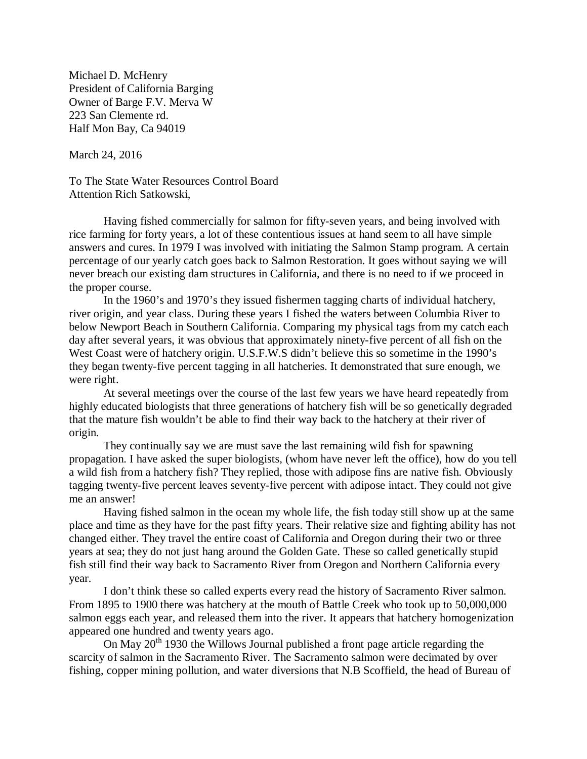Michael D. McHenry President of California Barging Owner of Barge F.V. Merva W 223 San Clemente rd. Half Mon Bay, Ca 94019

March 24, 2016

To The State Water Resources Control Board Attention Rich Satkowski,

Having fished commercially for salmon for fifty-seven years, and being involved with rice farming for forty years, a lot of these contentious issues at hand seem to all have simple answers and cures. In 1979 I was involved with initiating the Salmon Stamp program. A certain percentage of our yearly catch goes back to Salmon Restoration. It goes without saying we will never breach our existing dam structures in California, and there is no need to if we proceed in the proper course.

In the 1960's and 1970's they issued fishermen tagging charts of individual hatchery, river origin, and year class. During these years I fished the waters between Columbia River to below Newport Beach in Southern California. Comparing my physical tags from my catch each day after several years, it was obvious that approximately ninety-five percent of all fish on the West Coast were of hatchery origin. U.S.F.W.S didn't believe this so sometime in the 1990's they began twenty-five percent tagging in all hatcheries. It demonstrated that sure enough, we were right.

At several meetings over the course of the last few years we have heard repeatedly from highly educated biologists that three generations of hatchery fish will be so genetically degraded that the mature fish wouldn't be able to find their way back to the hatchery at their river of origin.

They continually say we are must save the last remaining wild fish for spawning propagation. I have asked the super biologists, (whom have never left the office), how do you tell a wild fish from a hatchery fish? They replied, those with adipose fins are native fish. Obviously tagging twenty-five percent leaves seventy-five percent with adipose intact. They could not give me an answer!

Having fished salmon in the ocean my whole life, the fish today still show up at the same place and time as they have for the past fifty years. Their relative size and fighting ability has not changed either. They travel the entire coast of California and Oregon during their two or three years at sea; they do not just hang around the Golden Gate. These so called genetically stupid fish still find their way back to Sacramento River from Oregon and Northern California every year.

I don't think these so called experts every read the history of Sacramento River salmon. From 1895 to 1900 there was hatchery at the mouth of Battle Creek who took up to 50,000,000 salmon eggs each year, and released them into the river. It appears that hatchery homogenization appeared one hundred and twenty years ago.

On May  $20<sup>th</sup>$  1930 the Willows Journal published a front page article regarding the scarcity of salmon in the Sacramento River. The Sacramento salmon were decimated by over fishing, copper mining pollution, and water diversions that N.B Scoffield, the head of Bureau of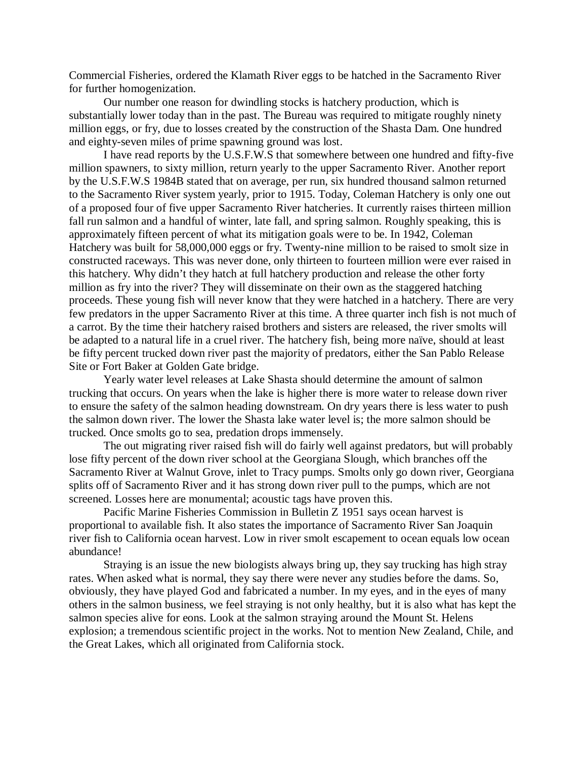Commercial Fisheries, ordered the Klamath River eggs to be hatched in the Sacramento River for further homogenization.

Our number one reason for dwindling stocks is hatchery production, which is substantially lower today than in the past. The Bureau was required to mitigate roughly ninety million eggs, or fry, due to losses created by the construction of the Shasta Dam. One hundred and eighty-seven miles of prime spawning ground was lost.

I have read reports by the U.S.F.W.S that somewhere between one hundred and fifty-five million spawners, to sixty million, return yearly to the upper Sacramento River. Another report by the U.S.F.W.S 1984B stated that on average, per run, six hundred thousand salmon returned to the Sacramento River system yearly, prior to 1915. Today, Coleman Hatchery is only one out of a proposed four of five upper Sacramento River hatcheries. It currently raises thirteen million fall run salmon and a handful of winter, late fall, and spring salmon. Roughly speaking, this is approximately fifteen percent of what its mitigation goals were to be. In 1942, Coleman Hatchery was built for 58,000,000 eggs or fry. Twenty-nine million to be raised to smolt size in constructed raceways. This was never done, only thirteen to fourteen million were ever raised in this hatchery. Why didn't they hatch at full hatchery production and release the other forty million as fry into the river? They will disseminate on their own as the staggered hatching proceeds. These young fish will never know that they were hatched in a hatchery. There are very few predators in the upper Sacramento River at this time. A three quarter inch fish is not much of a carrot. By the time their hatchery raised brothers and sisters are released, the river smolts will be adapted to a natural life in a cruel river. The hatchery fish, being more naïve, should at least be fifty percent trucked down river past the majority of predators, either the San Pablo Release Site or Fort Baker at Golden Gate bridge.

Yearly water level releases at Lake Shasta should determine the amount of salmon trucking that occurs. On years when the lake is higher there is more water to release down river to ensure the safety of the salmon heading downstream. On dry years there is less water to push the salmon down river. The lower the Shasta lake water level is; the more salmon should be trucked. Once smolts go to sea, predation drops immensely.

The out migrating river raised fish will do fairly well against predators, but will probably lose fifty percent of the down river school at the Georgiana Slough, which branches off the Sacramento River at Walnut Grove, inlet to Tracy pumps. Smolts only go down river, Georgiana splits off of Sacramento River and it has strong down river pull to the pumps, which are not screened. Losses here are monumental; acoustic tags have proven this.

Pacific Marine Fisheries Commission in Bulletin Z 1951 says ocean harvest is proportional to available fish. It also states the importance of Sacramento River San Joaquin river fish to California ocean harvest. Low in river smolt escapement to ocean equals low ocean abundance!

Straying is an issue the new biologists always bring up, they say trucking has high stray rates. When asked what is normal, they say there were never any studies before the dams. So, obviously, they have played God and fabricated a number. In my eyes, and in the eyes of many others in the salmon business, we feel straying is not only healthy, but it is also what has kept the salmon species alive for eons. Look at the salmon straying around the Mount St. Helens explosion; a tremendous scientific project in the works. Not to mention New Zealand, Chile, and the Great Lakes, which all originated from California stock.